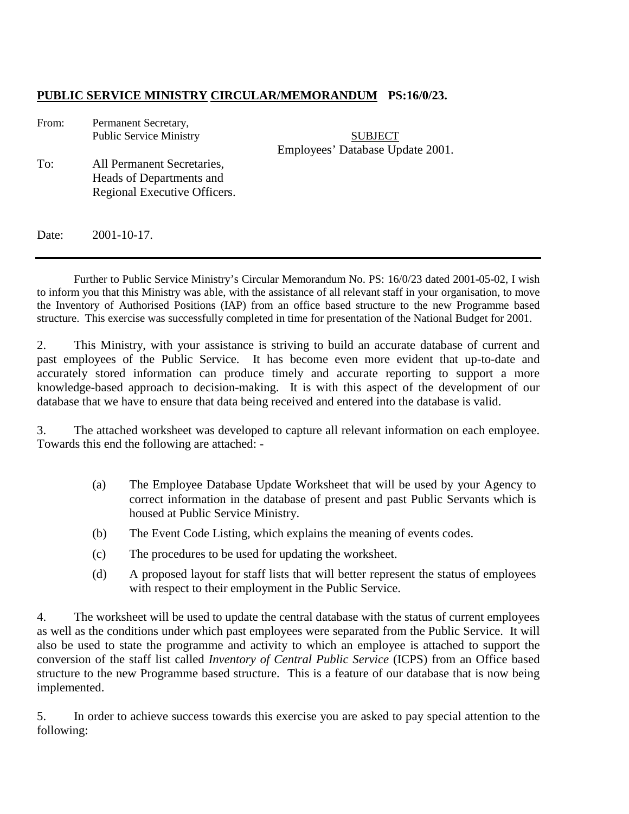## **PUBLIC SERVICE MINISTRY CIRCULAR/MEMORANDUM PS:16/0/23.**

| From: | Permanent Secretary,<br><b>Public Service Ministry</b>                                 | <b>SUBJECT</b>                   |
|-------|----------------------------------------------------------------------------------------|----------------------------------|
| To:   | All Permanent Secretaries,<br>Heads of Departments and<br>Regional Executive Officers. | Employees' Database Update 2001. |
|       |                                                                                        |                                  |

Date: 2001-10-17.

Further to Public Service Ministry's Circular Memorandum No. PS: 16/0/23 dated 2001-05-02, I wish to inform you that this Ministry was able, with the assistance of all relevant staff in your organisation, to move the Inventory of Authorised Positions (IAP) from an office based structure to the new Programme based structure. This exercise was successfully completed in time for presentation of the National Budget for 2001.

2. This Ministry, with your assistance is striving to build an accurate database of current and past employees of the Public Service. It has become even more evident that up-to-date and accurately stored information can produce timely and accurate reporting to support a more knowledge-based approach to decision-making. It is with this aspect of the development of our database that we have to ensure that data being received and entered into the database is valid.

3. The attached worksheet was developed to capture all relevant information on each employee. Towards this end the following are attached: -

- (a) The Employee Database Update Worksheet that will be used by your Agency to correct information in the database of present and past Public Servants which is housed at Public Service Ministry.
- (b) The Event Code Listing, which explains the meaning of events codes.
- (c) The procedures to be used for updating the worksheet.
- (d) A proposed layout for staff lists that will better represent the status of employees with respect to their employment in the Public Service.

4. The worksheet will be used to update the central database with the status of current employees as well as the conditions under which past employees were separated from the Public Service. It will also be used to state the programme and activity to which an employee is attached to support the conversion of the staff list called *Inventory of Central Public Service* (ICPS) from an Office based structure to the new Programme based structure. This is a feature of our database that is now being implemented.

5. In order to achieve success towards this exercise you are asked to pay special attention to the following: